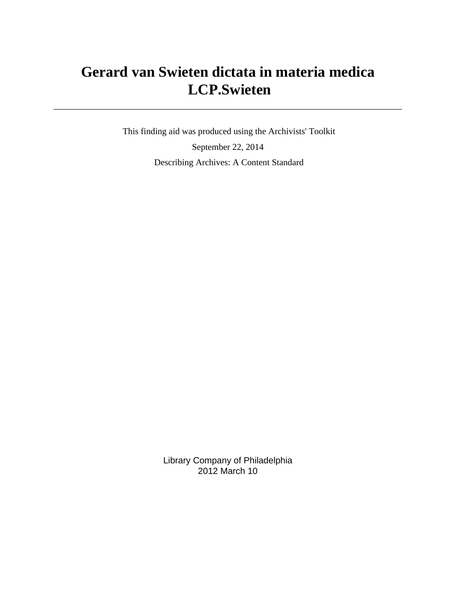# **Gerard van Swieten dictata in materia medica LCP.Swieten**

 This finding aid was produced using the Archivists' Toolkit September 22, 2014 Describing Archives: A Content Standard

> Library Company of Philadelphia 2012 March 10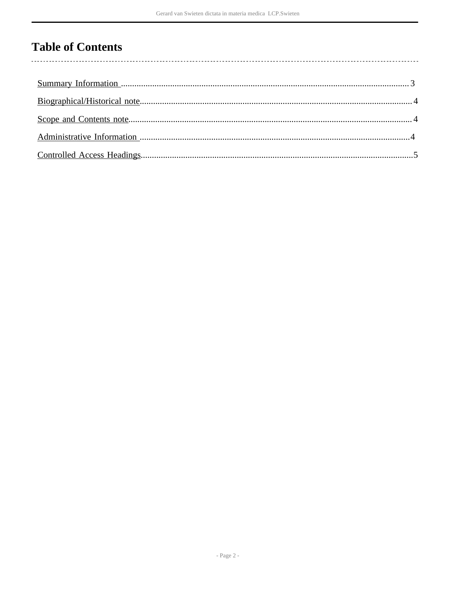# **Table of Contents**

l,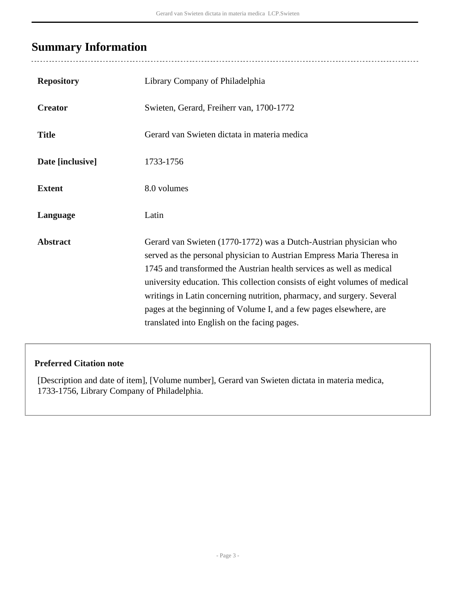# <span id="page-2-0"></span>**Summary Information**

| <b>Repository</b> | Library Company of Philadelphia                                                                                                                                                                                                                                                                                                                                                                                                                                                                  |
|-------------------|--------------------------------------------------------------------------------------------------------------------------------------------------------------------------------------------------------------------------------------------------------------------------------------------------------------------------------------------------------------------------------------------------------------------------------------------------------------------------------------------------|
| <b>Creator</b>    | Swieten, Gerard, Freiherr van, 1700-1772                                                                                                                                                                                                                                                                                                                                                                                                                                                         |
| <b>Title</b>      | Gerard van Swieten dictata in materia medica                                                                                                                                                                                                                                                                                                                                                                                                                                                     |
| Date [inclusive]  | 1733-1756                                                                                                                                                                                                                                                                                                                                                                                                                                                                                        |
| <b>Extent</b>     | 8.0 volumes                                                                                                                                                                                                                                                                                                                                                                                                                                                                                      |
| Language          | Latin                                                                                                                                                                                                                                                                                                                                                                                                                                                                                            |
| <b>Abstract</b>   | Gerard van Swieten (1770-1772) was a Dutch-Austrian physician who<br>served as the personal physician to Austrian Empress Maria Theresa in<br>1745 and transformed the Austrian health services as well as medical<br>university education. This collection consists of eight volumes of medical<br>writings in Latin concerning nutrition, pharmacy, and surgery. Several<br>pages at the beginning of Volume I, and a few pages elsewhere, are<br>translated into English on the facing pages. |

### **Preferred Citation note**

[Description and date of item], [Volume number], Gerard van Swieten dictata in materia medica, 1733-1756, Library Company of Philadelphia.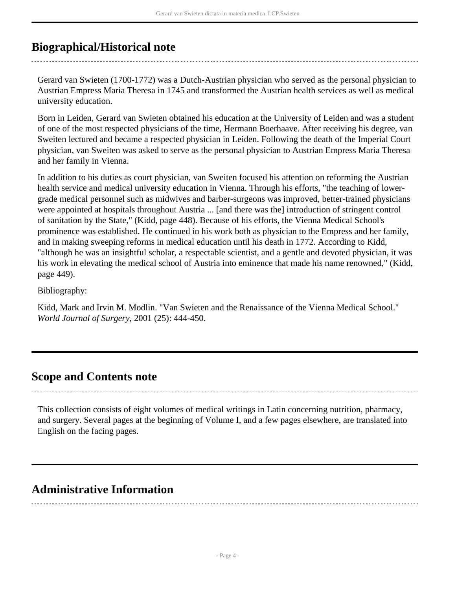## <span id="page-3-0"></span>**Biographical/Historical note**

Gerard van Swieten (1700-1772) was a Dutch-Austrian physician who served as the personal physician to Austrian Empress Maria Theresa in 1745 and transformed the Austrian health services as well as medical university education.

Born in Leiden, Gerard van Swieten obtained his education at the University of Leiden and was a student of one of the most respected physicians of the time, Hermann Boerhaave. After receiving his degree, van Sweiten lectured and became a respected physician in Leiden. Following the death of the Imperial Court physician, van Sweiten was asked to serve as the personal physician to Austrian Empress Maria Theresa and her family in Vienna.

In addition to his duties as court physician, van Sweiten focused his attention on reforming the Austrian health service and medical university education in Vienna. Through his efforts, "the teaching of lowergrade medical personnel such as midwives and barber-surgeons was improved, better-trained physicians were appointed at hospitals throughout Austria ... [and there was the] introduction of stringent control of sanitation by the State," (Kidd, page 448). Because of his efforts, the Vienna Medical School's prominence was established. He continued in his work both as physician to the Empress and her family, and in making sweeping reforms in medical education until his death in 1772. According to Kidd, "although he was an insightful scholar, a respectable scientist, and a gentle and devoted physician, it was his work in elevating the medical school of Austria into eminence that made his name renowned," (Kidd, page 449).

Bibliography:

Kidd, Mark and Irvin M. Modlin. "Van Swieten and the Renaissance of the Vienna Medical School." *World Journal of Surgery*, 2001 (25): 444-450.

### <span id="page-3-1"></span>**Scope and Contents note**

This collection consists of eight volumes of medical writings in Latin concerning nutrition, pharmacy, and surgery. Several pages at the beginning of Volume I, and a few pages elsewhere, are translated into English on the facing pages.

### <span id="page-3-2"></span>**Administrative Information**